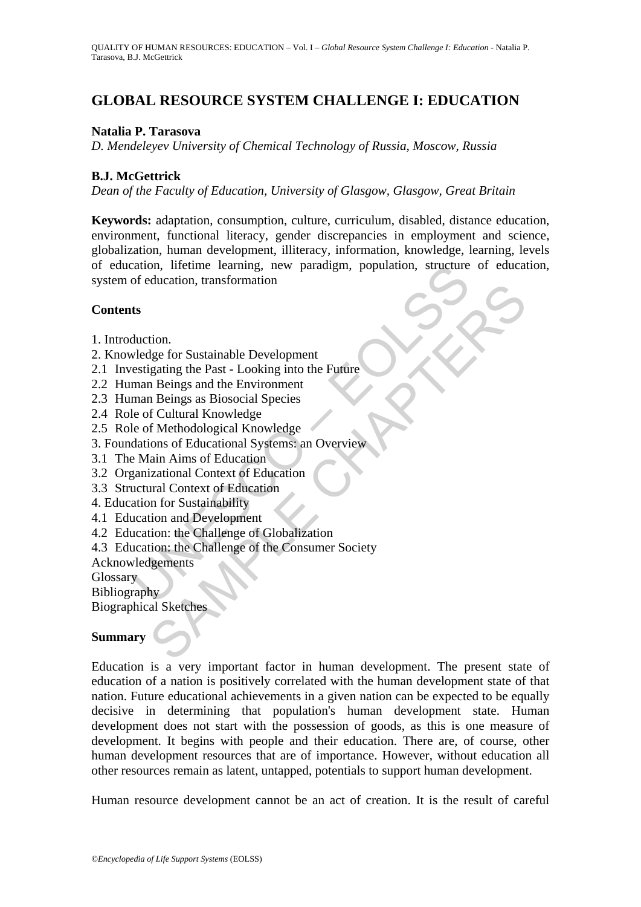# **GLOBAL RESOURCE SYSTEM CHALLENGE I: EDUCATION**

### **Natalia P. Tarasova**

*D. Mendeleyev University of Chemical Technology of Russia, Moscow, Russia* 

## **B.J. McGettrick**

*Dean of the Faculty of Education, University of Glasgow, Glasgow, Great Britain* 

cation, lifetime learning, new paradigm, population, structure<br>of education, transformation<br>tyledge for Sustainable Development<br>man Beings and the Environment<br>man Beings and the Environment<br>man Beings as Biosocial Species<br> **Keywords:** adaptation, consumption, culture, curriculum, disabled, distance education, environment, functional literacy, gender discrepancies in employment and science, globalization, human development, illiteracy, information, knowledge, learning, levels of education, lifetime learning, new paradigm, population, structure of education, system of education, transformation

#### **Contents**

- 1. Introduction.
- 2. Knowledge for Sustainable Development
- 2.1 Investigating the Past Looking into the Future
- 2.2 Human Beings and the Environment
- 2.3 Human Beings as Biosocial Species
- 2.4 Role of Cultural Knowledge
- 2.5 Role of Methodological Knowledge
- 3. Foundations of Educational Systems: an Overview
- 3.1 The Main Aims of Education
- 3.2 Organizational Context of Education
- 3.3 Structural Context of Education
- 4. Education for Sustainability
- 4.1 Education and Development
- 4.2 Education: the Challenge of Globalization
- Example 10<br>
tion.<br>
Ige for Sustainable Development<br>
In Beings and the Environment<br>
In Beings and the Environment<br>
In Semissonia Species<br>
or Chultural Knowledge<br>
or Educational Systems: an Overview<br>
In Sustainability<br>
Lian 4.3 Education: the Challenge of the Consumer Society
- Acknowledgements

**Glossary** 

Bibliography

Biographical Sketches

#### **Summary**

Education is a very important factor in human development. The present state of education of a nation is positively correlated with the human development state of that nation. Future educational achievements in a given nation can be expected to be equally decisive in determining that population's human development state. Human development does not start with the possession of goods, as this is one measure of development. It begins with people and their education. There are, of course, other human development resources that are of importance. However, without education all other resources remain as latent, untapped, potentials to support human development.

Human resource development cannot be an act of creation. It is the result of careful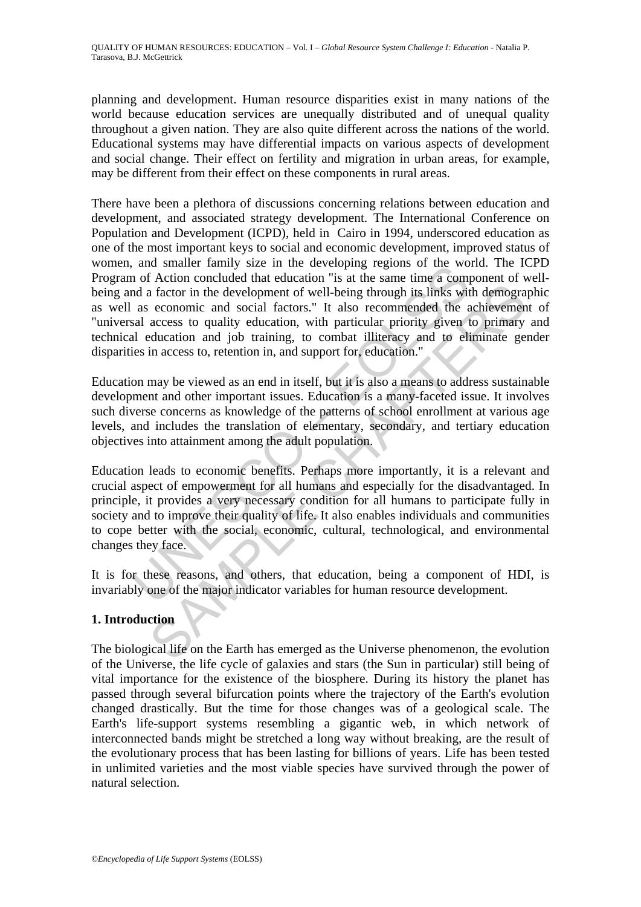planning and development. Human resource disparities exist in many nations of the world because education services are unequally distributed and of unequal quality throughout a given nation. They are also quite different across the nations of the world. Educational systems may have differential impacts on various aspects of development and social change. Their effect on fertility and migration in urban areas, for example, may be different from their effect on these components in rural areas.

and smaller launty size in the developing regions of the wo-<br>and of Action concluded that education "is at the same time a complete a complete a factor in the development of well-being through its links wit as economic and There have been a plethora of discussions concerning relations between education and development, and associated strategy development. The International Conference on Population and Development (ICPD), held in Cairo in 1994, underscored education as one of the most important keys to social and economic development, improved status of women, and smaller family size in the developing regions of the world. The ICPD Program of Action concluded that education "is at the same time a component of wellbeing and a factor in the development of well-being through its links with demographic as well as economic and social factors." It also recommended the achievement of "universal access to quality education, with particular priority given to primary and technical education and job training, to combat illiteracy and to eliminate gender disparities in access to, retention in, and support for, education."

Education may be viewed as an end in itself, but it is also a means to address sustainable development and other important issues. Education is a many-faceted issue. It involves such diverse concerns as knowledge of the patterns of school enrollment at various age levels, and includes the translation of elementary, secondary, and tertiary education objectives into attainment among the adult population.

a factor in the development of well-being through its links with demograte and a factor in the development of well-being through its links with demograte conomic and social factors." It also recommended the achievement acc Education leads to economic benefits. Perhaps more importantly, it is a relevant and crucial aspect of empowerment for all humans and especially for the disadvantaged. In principle, it provides a very necessary condition for all humans to participate fully in society and to improve their quality of life. It also enables individuals and communities to cope better with the social, economic, cultural, technological, and environmental changes they face.

It is for these reasons, and others, that education, being a component of HDI, is invariably one of the major indicator variables for human resource development.

## **1. Introduction**

The biological life on the Earth has emerged as the Universe phenomenon, the evolution of the Universe, the life cycle of galaxies and stars (the Sun in particular) still being of vital importance for the existence of the biosphere. During its history the planet has passed through several bifurcation points where the trajectory of the Earth's evolution changed drastically. But the time for those changes was of a geological scale. The Earth's life-support systems resembling a gigantic web, in which network of interconnected bands might be stretched a long way without breaking, are the result of the evolutionary process that has been lasting for billions of years. Life has been tested in unlimited varieties and the most viable species have survived through the power of natural selection.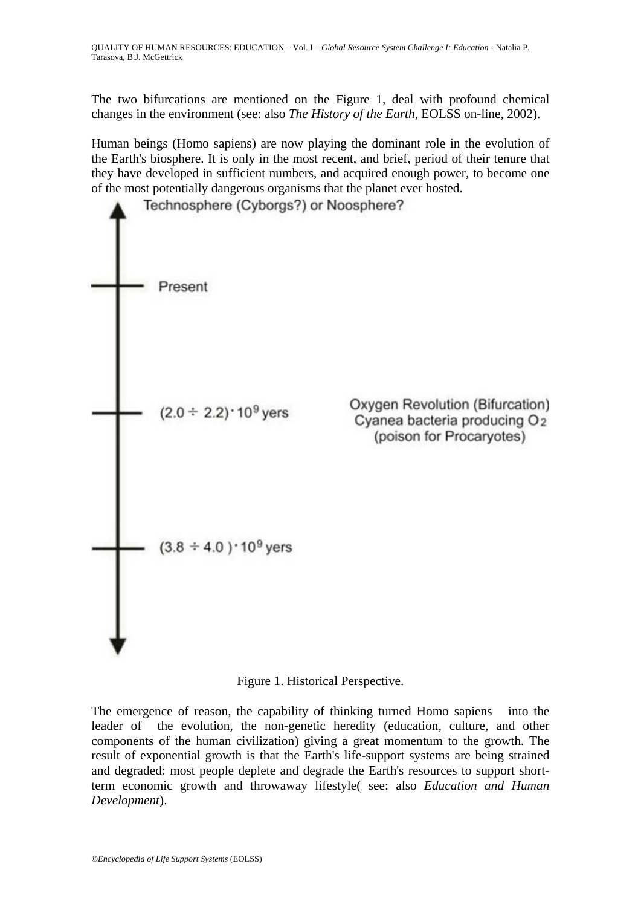The two bifurcations are mentioned on the Figure 1, deal with profound chemical changes in the environment (see: also *The History of the Earth*, EOLSS on-line, 2002).

Human beings (Homo sapiens) are now playing the dominant role in the evolution of the Earth's biosphere. It is only in the most recent, and brief, period of their tenure that they have developed in sufficient numbers, and acquired enough power, to become one of the most potentially dangerous organisms that the planet ever hosted.



Figure 1. Historical Perspective.

The emergence of reason, the capability of thinking turned Homo sapiens into the leader of the evolution, the non-genetic heredity (education, culture, and other components of the human civilization) giving a great momentum to the growth. The result of exponential growth is that the Earth's life-support systems are being strained and degraded: most people deplete and degrade the Earth's resources to support shortterm economic growth and throwaway lifestyle( see: also *Education and Human Development*).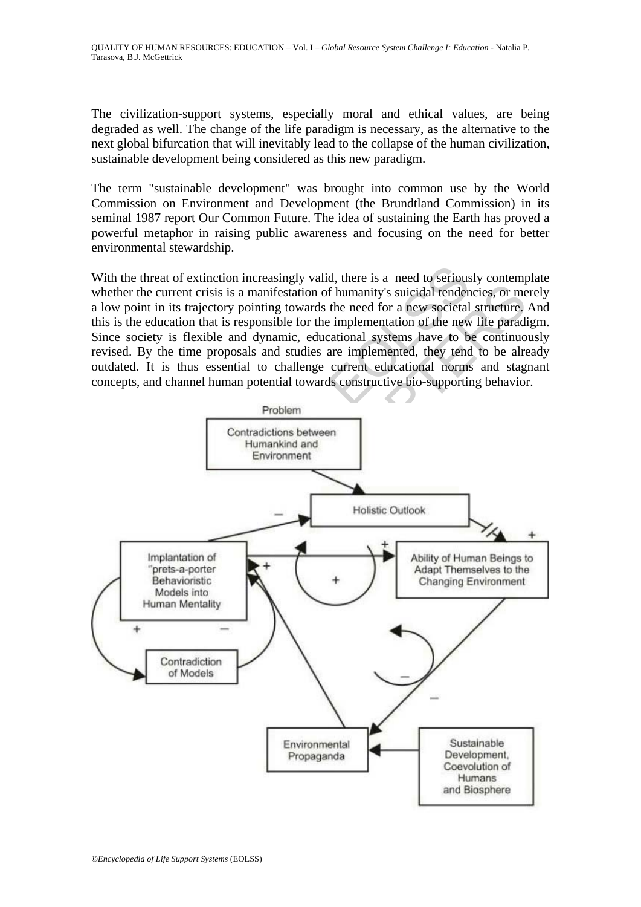The civilization-support systems, especially moral and ethical values, are being degraded as well. The change of the life paradigm is necessary, as the alternative to the next global bifurcation that will inevitably lead to the collapse of the human civilization, sustainable development being considered as this new paradigm.

The term "sustainable development" was brought into common use by the World Commission on Environment and Development (the Brundtland Commission) in its seminal 1987 report Our Common Future. The idea of sustaining the Earth has proved a powerful metaphor in raising public awareness and focusing on the need for better environmental stewardship.

With the threat of extinction increasingly valid, there is a need to seriously contemplate whether the current crisis is a manifestation of humanity's suicidal tendencies, or merely a low point in its trajectory pointing towards the need for a new societal structure. And this is the education that is responsible for the implementation of the new life paradigm. Since society is flexible and dynamic, educational systems have to be continuously revised. By the time proposals and studies are implemented, they tend to be already outdated. It is thus essential to challenge current educational norms and stagnant concepts, and channel human potential towards constructive bio-supporting behavior.

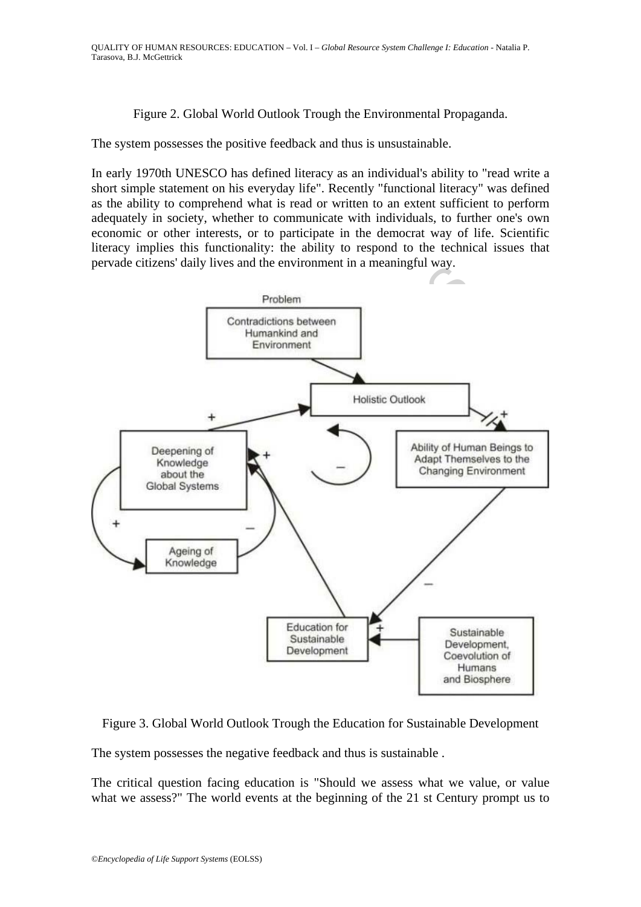Figure 2. Global World Outlook Trough the Environmental Propaganda.

The system possesses the positive feedback and thus is unsustainable.

In early 1970th UNESCO has defined literacy as an individual's ability to "read write a short simple statement on his everyday life". Recently "functional literacy" was defined as the ability to comprehend what is read or written to an extent sufficient to perform adequately in society, whether to communicate with individuals, to further one's own economic or other interests, or to participate in the democrat way of life. Scientific literacy implies this functionality: the ability to respond to the technical issues that pervade citizens' daily lives and the environment in a meaningful way.



Figure 3. Global World Outlook Trough the Education for Sustainable Development

The system possesses the negative feedback and thus is sustainable .

The critical question facing education is "Should we assess what we value, or value what we assess?" The world events at the beginning of the 21 st Century prompt us to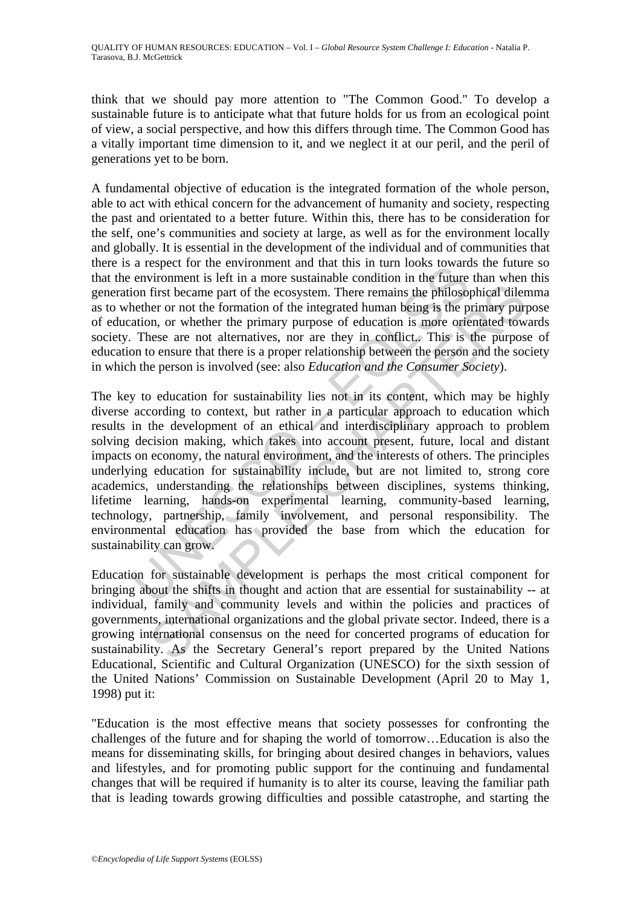think that we should pay more attention to "The Common Good." To develop a sustainable future is to anticipate what that future holds for us from an ecological point of view, a social perspective, and how this differs through time. The Common Good has a vitally important time dimension to it, and we neglect it at our peril, and the peril of generations yet to be born.

A fundamental objective of education is the integrated formation of the whole person, able to act with ethical concern for the advancement of humanity and society, respecting the past and orientated to a better future. Within this, there has to be consideration for the self, one's communities and society at large, as well as for the environment locally and globally. It is essential in the development of the individual and of communities that there is a respect for the environment and that this in turn looks towards the future so that the environment is left in a more sustainable condition in the future than when this generation first became part of the ecosystem. There remains the philosophical dilemma as to whether or not the formation of the integrated human being is the primary purpose of education, or whether the primary purpose of education is more orientated towards society. These are not alternatives, nor are they in conflict.. This is the purpose of education to ensure that there is a proper relationship between the person and the society in which the person is involved (see: also *Education and the Consumer Society*).

a respect to the environment and unat unsi in unif looks towate<br>environment is left in a more sustainable condition in the future<br>environment is left in a more sustainable condition in the future<br>on first became part of th first became part of the ecosystem. There remains the philosophical dilerer or not the formation of the integrated human being is the primary purp, on, or whether the primary purpses of education is more orientated tower o The key to education for sustainability lies not in its content, which may be highly diverse according to context, but rather in a particular approach to education which results in the development of an ethical and interdisciplinary approach to problem solving decision making, which takes into account present, future, local and distant impacts on economy, the natural environment, and the interests of others. The principles underlying education for sustainability include, but are not limited to, strong core academics, understanding the relationships between disciplines, systems thinking, lifetime learning, hands-on experimental learning, community-based learning, technology, partnership, family involvement, and personal responsibility. The environmental education has provided the base from which the education for sustainability can grow.

Education for sustainable development is perhaps the most critical component for bringing about the shifts in thought and action that are essential for sustainability -- at individual, family and community levels and within the policies and practices of governments, international organizations and the global private sector. Indeed, there is a growing international consensus on the need for concerted programs of education for sustainability. As the Secretary General's report prepared by the United Nations Educational, Scientific and Cultural Organization (UNESCO) for the sixth session of the United Nations' Commission on Sustainable Development (April 20 to May 1, 1998) put it:

"Education is the most effective means that society possesses for confronting the challenges of the future and for shaping the world of tomorrow…Education is also the means for disseminating skills, for bringing about desired changes in behaviors, values and lifestyles, and for promoting public support for the continuing and fundamental changes that will be required if humanity is to alter its course, leaving the familiar path that is leading towards growing difficulties and possible catastrophe, and starting the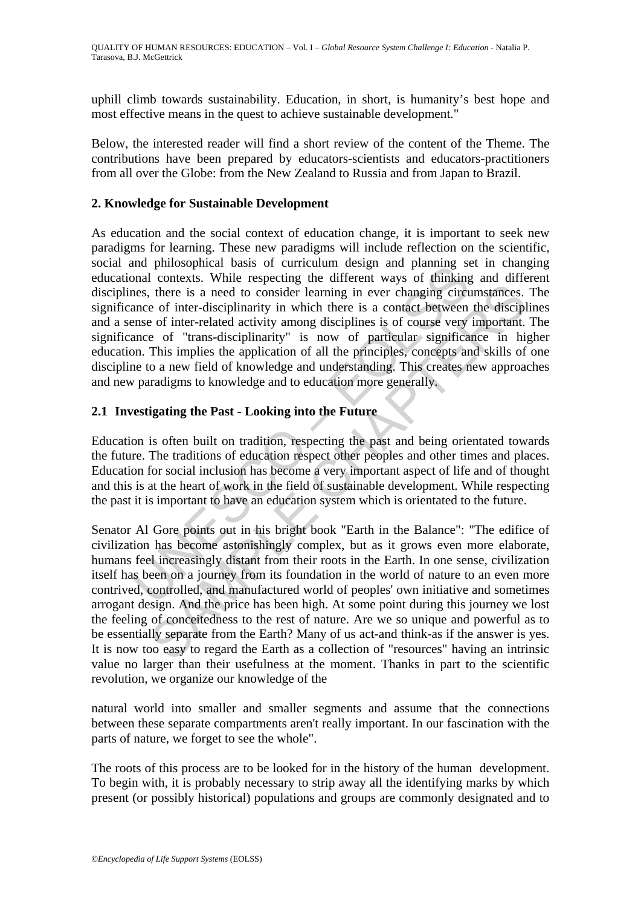uphill climb towards sustainability. Education, in short, is humanity's best hope and most effective means in the quest to achieve sustainable development."

Below, the interested reader will find a short review of the content of the Theme. The contributions have been prepared by educators-scientists and educators-practitioners from all over the Globe: from the New Zealand to Russia and from Japan to Brazil.

## **2. Knowledge for Sustainable Development**

and pursopplinear oasas of currelium usage and palaming standard contexts. While respecting the different ways of funkling and contexts. While respecting the different ways of funkling menes, there is a need to consider le As education and the social context of education change, it is important to seek new paradigms for learning. These new paradigms will include reflection on the scientific, social and philosophical basis of curriculum design and planning set in changing educational contexts. While respecting the different ways of thinking and different disciplines, there is a need to consider learning in ever changing circumstances. The significance of inter-disciplinarity in which there is a contact between the disciplines and a sense of inter-related activity among disciplines is of course very important. The significance of "trans-disciplinarity" is now of particular significance in higher education. This implies the application of all the principles, concepts and skills of one discipline to a new field of knowledge and understanding. This creates new approaches and new paradigms to knowledge and to education more generally.

### **2.1 Investigating the Past - Looking into the Future**

Education is often built on tradition, respecting the past and being orientated towards the future. The traditions of education respect other peoples and other times and places. Education for social inclusion has become a very important aspect of life and of thought and this is at the heart of work in the field of sustainable development. While respecting the past it is important to have an education system which is orientated to the future.

there is a need to consider learning in ever changing circumstances.<br>
e of inter-disciplinarity in which there is a contact between the disciple<br>
e of inter-disciplinarity in which there is a contact between the disciple<br> Senator Al Gore points out in his bright book "Earth in the Balance": "The edifice of civilization has become astonishingly complex, but as it grows even more elaborate, humans feel increasingly distant from their roots in the Earth. In one sense, civilization itself has been on a journey from its foundation in the world of nature to an even more contrived, controlled, and manufactured world of peoples' own initiative and sometimes arrogant design. And the price has been high. At some point during this journey we lost the feeling of conceitedness to the rest of nature. Are we so unique and powerful as to be essentially separate from the Earth? Many of us act-and think-as if the answer is yes. It is now too easy to regard the Earth as a collection of "resources" having an intrinsic value no larger than their usefulness at the moment. Thanks in part to the scientific revolution, we organize our knowledge of the

natural world into smaller and smaller segments and assume that the connections between these separate compartments aren't really important. In our fascination with the parts of nature, we forget to see the whole".

The roots of this process are to be looked for in the history of the human development. To begin with, it is probably necessary to strip away all the identifying marks by which present (or possibly historical) populations and groups are commonly designated and to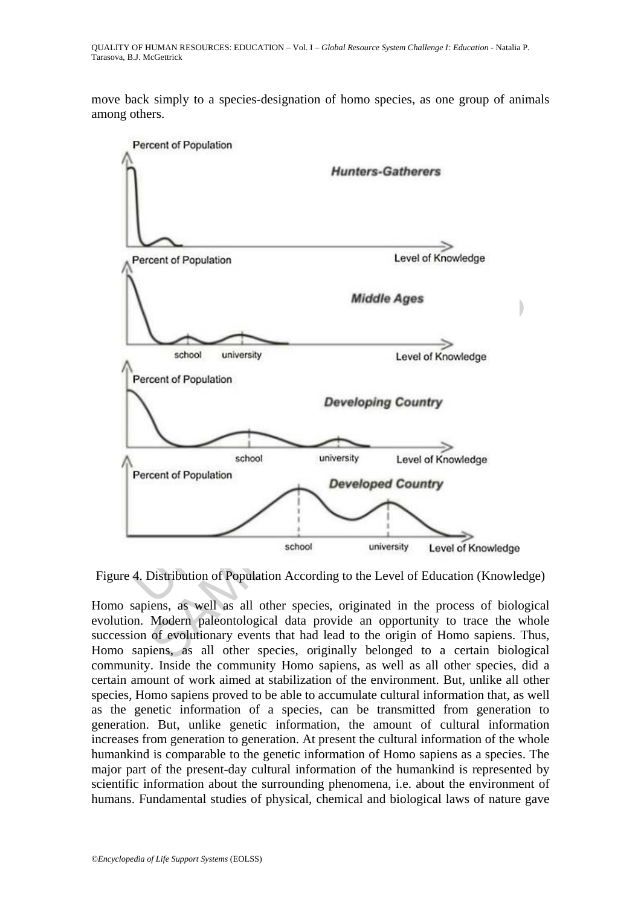move back simply to a species-designation of homo species, as one group of animals among others.



Figure 4. Distribution of Population According to the Level of Education (Knowledge)

Homo sapiens, as well as all other species, originated in the process of biological evolution. Modern paleontological data provide an opportunity to trace the whole succession of evolutionary events that had lead to the origin of Homo sapiens. Thus, Homo sapiens, as all other species, originally belonged to a certain biological community. Inside the community Homo sapiens, as well as all other species, did a certain amount of work aimed at stabilization of the environment. But, unlike all other species, Homo sapiens proved to be able to accumulate cultural information that, as well as the genetic information of a species, can be transmitted from generation to generation. But, unlike genetic information, the amount of cultural information increases from generation to generation. At present the cultural information of the whole humankind is comparable to the genetic information of Homo sapiens as a species. The major part of the present-day cultural information of the humankind is represented by scientific information about the surrounding phenomena, i.e. about the environment of humans. Fundamental studies of physical, chemical and biological laws of nature gave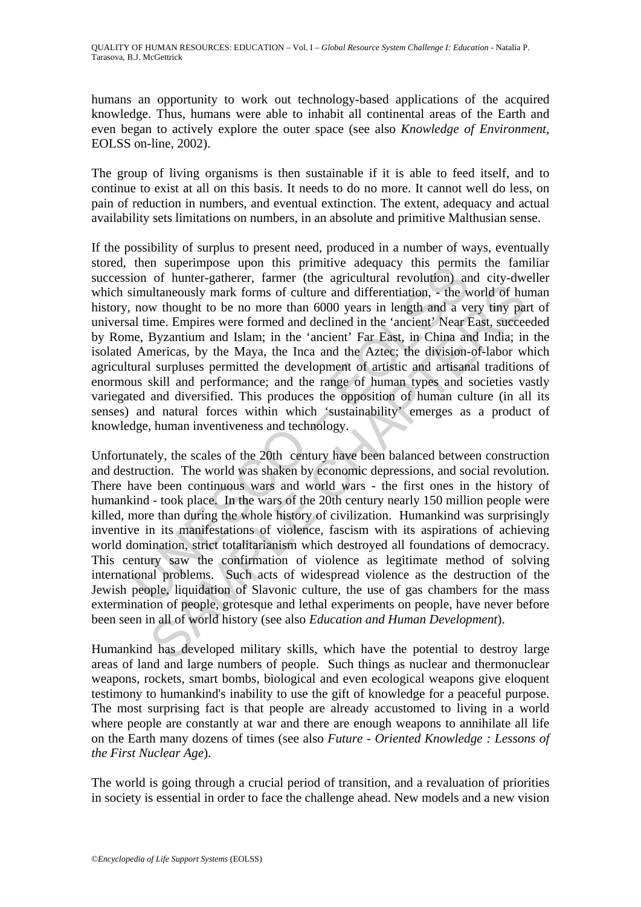humans an opportunity to work out technology-based applications of the acquired knowledge. Thus, humans were able to inhabit all continental areas of the Earth and even began to actively explore the outer space (see also *Knowledge of Environment*, EOLSS on-line, 2002).

The group of living organisms is then sustainable if it is able to feed itself, and to continue to exist at all on this basis. It needs to do no more. It cannot well do less, on pain of reduction in numbers, and eventual extinction. The extent, adequacy and actual availability sets limitations on numbers, in an absolute and primitive Malthusian sense.

the subminiver and particular and particular problem of hunter-gatherer, farmer (the agricultural revolution) arimultaneously mark forms of culture and differentiation, - the way now thought to be no more than 6000 years i If the possibility of surplus to present need, produced in a number of ways, eventually stored, then superimpose upon this primitive adequacy this permits the familiar succession of hunter-gatherer, farmer (the agricultural revolution) and city-dweller which simultaneously mark forms of culture and differentiation, - the world of human history, now thought to be no more than 6000 years in length and a very tiny part of universal time. Empires were formed and declined in the 'ancient' Near East, succeeded by Rome, Byzantium and Islam; in the 'ancient' Far East, in China and India; in the isolated Americas, by the Maya, the Inca and the Aztec; the division-of-labor which agricultural surpluses permitted the development of artistic and artisanal traditions of enormous skill and performance; and the range of human types and societies vastly variegated and diversified. This produces the opposition of human culture (in all its senses) and natural forces within which 'sustainability' emerges as a product of knowledge, human inventiveness and technology.

altaneously mark forms of culture and differentiation, - the world of hu w thought to be no more than 6000 years in length and a very tiny paint. Every head of humine Empires were formed and declined in the 'ancient' Near Unfortunately, the scales of the 20th century have been balanced between construction and destruction. The world was shaken by economic depressions, and social revolution. There have been continuous wars and world wars - the first ones in the history of humankind - took place. In the wars of the 20th century nearly 150 million people were killed, more than during the whole history of civilization. Humankind was surprisingly inventive in its manifestations of violence, fascism with its aspirations of achieving world domination, strict totalitarianism which destroyed all foundations of democracy. This century saw the confirmation of violence as legitimate method of solving international problems. Such acts of widespread violence as the destruction of the Jewish people, liquidation of Slavonic culture, the use of gas chambers for the mass extermination of people, grotesque and lethal experiments on people, have never before been seen in all of world history (see also *Education and Human Development*).

Humankind has developed military skills, which have the potential to destroy large areas of land and large numbers of people. Such things as nuclear and thermonuclear weapons, rockets, smart bombs, biological and even ecological weapons give eloquent testimony to humankind's inability to use the gift of knowledge for a peaceful purpose. The most surprising fact is that people are already accustomed to living in a world where people are constantly at war and there are enough weapons to annihilate all life on the Earth many dozens of times (see also *Future - Oriented Knowledge : Lessons of the First Nuclear Age*).

The world is going through a crucial period of transition, and a revaluation of priorities in society is essential in order to face the challenge ahead. New models and a new vision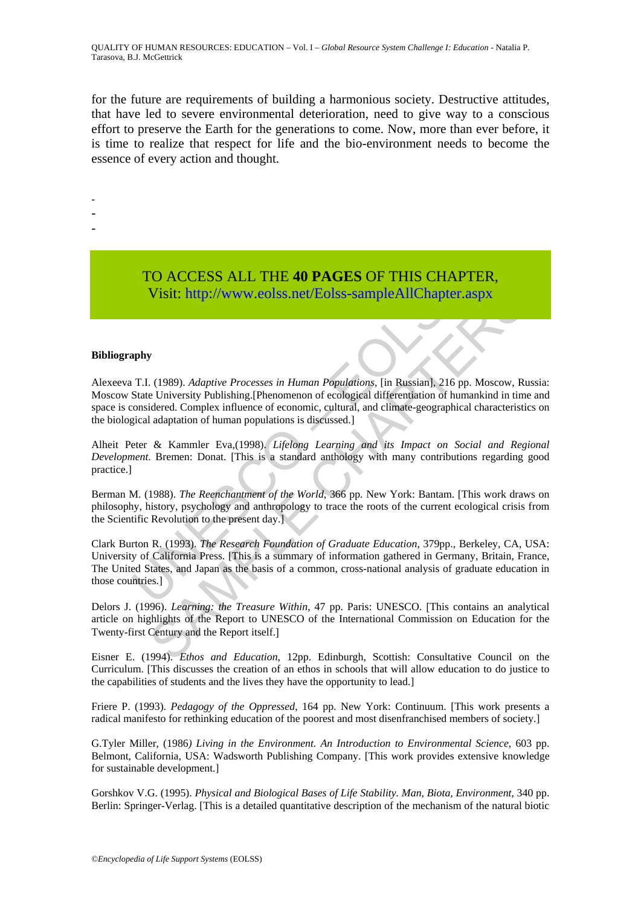for the future are requirements of building a harmonious society. Destructive attitudes, that have led to severe environmental deterioration, need to give way to a conscious effort to preserve the Earth for the generations to come. Now, more than ever before, it is time to realize that respect for life and the bio-environment needs to become the essence of every action and thought.

-

-

-

# TO ACCESS ALL THE **40 PAGES** OF THIS CHAPTER, Visit: http://www.eolss.net/Eolss-sampleAllChapter.aspx

#### **Bibliography**

**TO ACCESS ALL THE 40 PAGES OF THIS CHAPT**<br>
Visit: http://www.colss.net/Eolss-sampleAllChapter.a<br>
1.1. (1989). *Adaptive Processes in Human Populations*, [in Russian], 216 pp.<br>
State University Publishing [Phenomenon of co Visit: http://www.eolss.net/Eolss-sampleAllChapter.aspx<br>
(1989). Adaptive Processes in Human Populations, [in Russian], 216 pp. Moscow, Rv<br>
(1989). Adaptive Processes in Human Populations, [in Russian], 216 pp. Moscow, Rv<br> Alexeeva T.I. (1989). *Adaptive Processes in Human Populations,* [in Russian], 216 pp. Moscow, Russia: Moscow State University Publishing.[Phenomenon of ecological differentiation of humankind in time and space is considered. Complex influence of economic, cultural, and climate-geographical characteristics on the biological adaptation of human populations is discussed.]

Alheit Peter & Kammler Eva,(1998). *Lifelong Learning and its Impact on Social and Regional Development*. Bremen: Donat. [This is a standard anthology with many contributions regarding good practice.]

Berman M. (1988). *The Reenchantment of the World*, 366 pp. New York: Bantam. [This work draws on philosophy, history, psychology and anthropology to trace the roots of the current ecological crisis from the Scientific Revolution to the present day.]

Clark Burton R. (1993). *The Research Foundation of Graduate Education*, 379pp., Berkeley, CA, USA: University of California Press. [This is a summary of information gathered in Germany, Britain, France, The United States, and Japan as the basis of a common, cross-national analysis of graduate education in those countries.]

Delors J. (1996). *Learning: the Treasure Within*, 47 pp. Paris: UNESCO. [This contains an analytical article on highlights of the Report to UNESCO of the International Commission on Education for the Twenty-first Century and the Report itself.]

Eisner E. (1994). *Ethos and Education*, 12pp. Edinburgh, Scottish: Consultative Council on the Curriculum. [This discusses the creation of an ethos in schools that will allow education to do justice to the capabilities of students and the lives they have the opportunity to lead.]

Friere P. (1993). *Pedagogy of the Oppressed*, 164 pp. New York: Continuum. [This work presents a radical manifesto for rethinking education of the poorest and most disenfranchised members of society.]

G.Tyler Miller, (1986*) Living in the Environment. An Introduction to Environmental Science,* 603 pp. Belmont, California, USA: Wadsworth Publishing Company. [This work provides extensive knowledge for sustainable development.]

Gorshkov V.G. (1995). *Physical and Biological Bases of Life Stability. Man, Biota, Environment*, 340 pp. Berlin: Springer-Verlag. [This is a detailed quantitative description of the mechanism of the natural biotic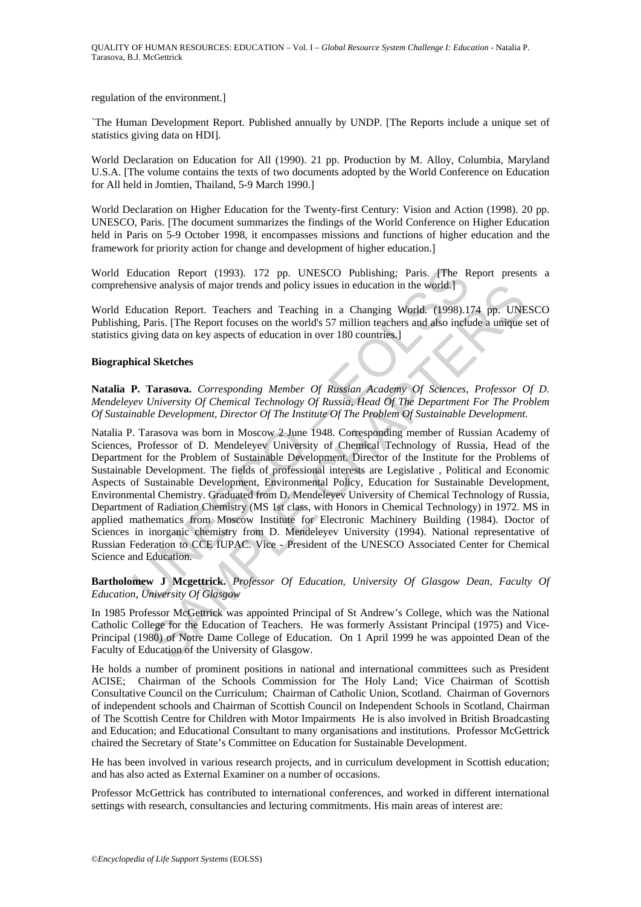regulation of the environment.]

`The Human Development Report. Published annually by UNDP. [The Reports include a unique set of statistics giving data on HDI].

World Declaration on Education for All (1990). 21 pp. Production by M. Alloy, Columbia, Maryland U.S.A. [The volume contains the texts of two documents adopted by the World Conference on Education for All held in Jomtien, Thailand, 5-9 March 1990.]

World Declaration on Higher Education for the Twenty-first Century: Vision and Action (1998). 20 pp. UNESCO, Paris. [The document summarizes the findings of the World Conference on Higher Education held in Paris on 5-9 October 1998, it encompasses missions and functions of higher education and the framework for priority action for change and development of higher education.]

World Education Report (1993). 172 pp. UNESCO Publishing; Paris. The Report presents a comprehensive analysis of major trends and policy issues in education in the world.]

World Education Report. Teachers and Teaching in a Changing World. (1998).174 pp. UNESCO Publishing, Paris. [The Report focuses on the world's 57 million teachers and also include a unique set of statistics giving data on key aspects of education in over 180 countries.]

#### **Biographical Sketches**

**Natalia P. Tarasova.** *Corresponding Member Of Russian Academy Of Sciences, Professor Of D. Mendeleyev University Of Chemical Technology Of Russia, Head Of The Department For The Problem Of Sustainable Development, Director Of The Institute Of The Problem Of Sustainable Development.* 

iducation Report (1993). 172 pp. UNESCO Publishing; Paris. [The R<br>
nisive analysis of major trends and policy issues in education in the world.]<br>
ducation Report. Teachers and Teaching in a Changing World. (1998).1<br>
g. Par is a malysis of major trends and policy issues in education in the world.]<br>
ation Report. Teachers and Teaching in a Changing World. (1998).174 pp. UNE<br>
harms: [The Report focuses on the world's 57 million teachers and als Natalia P. Tarasova was born in Moscow 2 June 1948. Corresponding member of Russian Academy of Sciences, Professor of D. Mendeleyev University of Chemical Technology of Russia, Head of the Department for the Problem of Sustainable Development. Director of the Institute for the Problems of Sustainable Development. The fields of professional interests are Legislative , Political and Economic Aspects of Sustainable Development, Environmental Policy, Education for Sustainable Development, Environmental Chemistry. Graduated from D. Mendeleyev University of Chemical Technology of Russia, Department of Radiation Chemistry (MS 1st class, with Honors in Chemical Technology) in 1972. MS in applied mathematics from Moscow Institute for Electronic Machinery Building (1984). Doctor of Sciences in inorganic chemistry from D. Mendeleyev University (1994). National representative of Russian Federation to CCE IUPAC. Vice - President of the UNESCO Associated Center for Chemical Science and Education.

**Bartholomew J Mcgettrick.** *Professor Of Education, University Of Glasgow Dean, Faculty Of Education, University Of Glasgow*

In 1985 Professor McGettrick was appointed Principal of St Andrew's College, which was the National Catholic College for the Education of Teachers. He was formerly Assistant Principal (1975) and Vice-Principal (1980) of Notre Dame College of Education. On 1 April 1999 he was appointed Dean of the Faculty of Education of the University of Glasgow.

He holds a number of prominent positions in national and international committees such as President ACISE; Chairman of the Schools Commission for The Holy Land; Vice Chairman of Scottish Consultative Council on the Curriculum; Chairman of Catholic Union, Scotland. Chairman of Governors of independent schools and Chairman of Scottish Council on Independent Schools in Scotland, Chairman of The Scottish Centre for Children with Motor Impairments He is also involved in British Broadcasting and Education; and Educational Consultant to many organisations and institutions. Professor McGettrick chaired the Secretary of State's Committee on Education for Sustainable Development.

He has been involved in various research projects, and in curriculum development in Scottish education; and has also acted as External Examiner on a number of occasions.

Professor McGettrick has contributed to international conferences, and worked in different international settings with research, consultancies and lecturing commitments. His main areas of interest are: